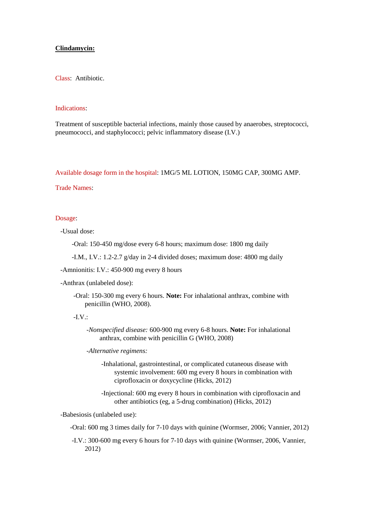# **Clindamycin:**

Class: Antibiotic.

#### Indications:

Treatment of susceptible bacterial infections, mainly those caused by anaerobes, streptococci, pneumococci, and staphylococci; pelvic inflammatory disease (I.V.)

Available dosage form in the hospital: 1MG/5 ML LOTION, 150MG CAP, 300MG AMP.

## Trade Names:

# Dosage:

-Usual dose:

-Oral: 150-450 mg/dose every 6-8 hours; maximum dose: 1800 mg daily

-I.M., I.V.: 1.2-2.7 g/day in 2-4 divided doses; maximum dose: 4800 mg daily

-Amnionitis: I.V.: 450-900 mg every 8 hours

-Anthrax (unlabeled dose):

 -Oral: 150-300 mg every 6 hours. **Note:** For inhalational anthrax, combine with penicillin (WHO, 2008).

#### $-IV.$

*-Nonspecified disease:* 600-900 mg every 6-8 hours. **Note:** For inhalational anthrax, combine with penicillin G (WHO, 2008)

*-Alternative regimens:*

-Inhalational, gastrointestinal, or complicated cutaneous disease with systemic involvement: 600 mg every 8 hours in combination with ciprofloxacin or doxycycline (Hicks, 2012)

-Injectional: 600 mg every 8 hours in combination with ciprofloxacin and other antibiotics (eg, a 5-drug combination) (Hicks, 2012)

-Babesiosis (unlabeled use):

-Oral: 600 mg 3 times daily for 7-10 days with quinine (Wormser, 2006; Vannier, 2012)

-I.V.: 300-600 mg every 6 hours for 7-10 days with quinine (Wormser, 2006, Vannier, 2012)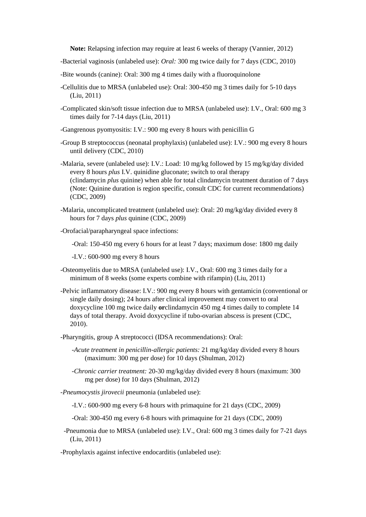**Note:** Relapsing infection may require at least 6 weeks of therapy (Vannier, 2012)

- -Bacterial vaginosis (unlabeled use): *Oral:* 300 mg twice daily for 7 days (CDC, 2010)
- -Bite wounds (canine): Oral: 300 mg 4 times daily with a fluoroquinolone
- -Cellulitis due to MRSA (unlabeled use): Oral: 300-450 mg 3 times daily for 5-10 days (Liu, 2011)
- -Complicated skin/soft tissue infection due to MRSA (unlabeled use): I.V., Oral: 600 mg 3 times daily for 7-14 days (Liu, 2011)
- -Gangrenous pyomyositis: I.V.: 900 mg every 8 hours with penicillin G
- -Group B streptococcus (neonatal prophylaxis) (unlabeled use): I.V.: 900 mg every 8 hours until delivery (CDC, 2010)
- -Malaria, severe (unlabeled use): I.V.: Load: 10 mg/kg followed by 15 mg/kg/day divided every 8 hours *plus* I.V. quinidine gluconate; switch to oral therapy (clindamycin *plus* quinine) when able for total clindamycin treatment duration of 7 days (Note: Quinine duration is region specific, consult CDC for current recommendations) (CDC, 2009)
- -Malaria, uncomplicated treatment (unlabeled use): Oral: 20 mg/kg/day divided every 8 hours for 7 days *plus* quinine (CDC, 2009)
- -Orofacial/parapharyngeal space infections:
	- -Oral: 150-450 mg every 6 hours for at least 7 days; maximum dose: 1800 mg daily
	- -I.V.: 600-900 mg every 8 hours
- -Osteomyelitis due to MRSA (unlabeled use): I.V., Oral: 600 mg 3 times daily for a minimum of 8 weeks (some experts combine with rifampin) (Liu, 2011)
- -Pelvic inflammatory disease: I.V.: 900 mg every 8 hours with gentamicin (conventional or single daily dosing); 24 hours after clinical improvement may convert to oral doxycycline 100 mg twice daily **or**clindamycin 450 mg 4 times daily to complete 14 days of total therapy. Avoid doxycycline if tubo-ovarian abscess is present (CDC, 2010).
- -Pharyngitis, group A streptococci (IDSA recommendations): Oral:
	- *-Acute treatment in penicillin-allergic patients:* 21 mg/kg/day divided every 8 hours (maximum: 300 mg per dose) for 10 days (Shulman, 2012)
	- *-Chronic carrier treatment:* 20-30 mg/kg/day divided every 8 hours (maximum: 300 mg per dose) for 10 days (Shulman, 2012)

 *-Pneumocystis jirovecii* pneumonia (unlabeled use):

-I.V.: 600-900 mg every 6-8 hours with primaquine for 21 days (CDC, 2009)

-Oral: 300-450 mg every 6-8 hours with primaquine for 21 days (CDC, 2009)

 -Pneumonia due to MRSA (unlabeled use): I.V., Oral: 600 mg 3 times daily for 7-21 days (Liu, 2011)

-Prophylaxis against infective endocarditis (unlabeled use):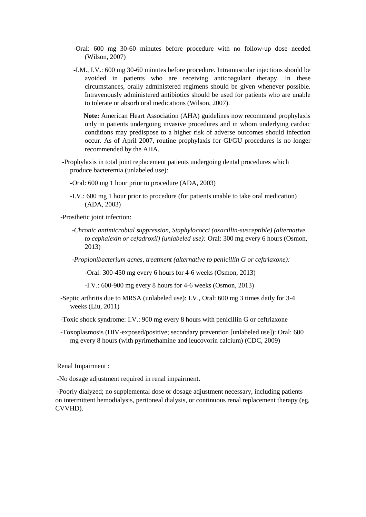- -Oral: 600 mg 30-60 minutes before procedure with no follow-up dose needed (Wilson, 2007)
- -I.M., I.V.: 600 mg 30-60 minutes before procedure. Intramuscular injections should be avoided in patients who are receiving anticoagulant therapy. In these circumstances, orally administered regimens should be given whenever possible. Intravenously administered antibiotics should be used for patients who are unable to tolerate or absorb oral medications (Wilson, 2007).

 **Note:** American Heart Association (AHA) guidelines now recommend prophylaxis only in patients undergoing invasive procedures and in whom underlying cardiac conditions may predispose to a higher risk of adverse outcomes should infection occur. As of April 2007, routine prophylaxis for GI/GU procedures is no longer recommended by the AHA.

- -Prophylaxis in total joint replacement patients undergoing dental procedures which produce bacteremia (unlabeled use):
	- -Oral: 600 mg 1 hour prior to procedure (ADA, 2003)
	- -I.V.: 600 mg 1 hour prior to procedure (for patients unable to take oral medication) (ADA, 2003)

-Prosthetic joint infection:

- *-Chronic antimicrobial suppression, Staphylococci (oxacillin-susceptible) (alternative to cephalexin or cefadroxil) (unlabeled use):* Oral: 300 mg every 6 hours (Osmon, 2013)
- *-Propionibacterium acnes, treatment (alternative to penicillin G or ceftriaxone):*

-Oral: 300-450 mg every 6 hours for 4-6 weeks (Osmon, 2013)

-I.V.: 600-900 mg every 8 hours for 4-6 weeks (Osmon, 2013)

- -Septic arthritis due to MRSA (unlabeled use): I.V., Oral: 600 mg 3 times daily for 3-4 weeks (Liu, 2011)
- -Toxic shock syndrome: I.V.: 900 mg every 8 hours with penicillin G or ceftriaxone
- **-**Toxoplasmosis (HIV-exposed/positive; secondary prevention [unlabeled use]): Oral: 600 mg every 8 hours (with pyrimethamine and leucovorin calcium) (CDC, 2009)

### Renal Impairment :

-No dosage adjustment required in renal impairment.

-Poorly dialyzed; no supplemental dose or dosage adjustment necessary, including patients on intermittent hemodialysis, peritoneal dialysis, or continuous renal replacement therapy (eg, CVVHD).